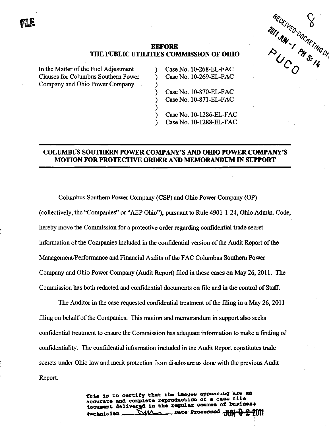

## THE PUBLIC UTILITIES COMMISSION OF OHIO

℩  $\lambda$  $\lambda$  $\mathcal{E}$ 

> ⟩ ℩

In the Matter of the Fuel Adjustment Clauses for Columbus Southern Power Company and Ohio Power Company.

Case No.  $10-268$ -EL-FAC CaseNo. 10-269-EL-FAC

CaseNo. 10-870-EL-FAC CaseNo. 10-871-EL-FAC

Case No. 10-1286-EL-FAC CaseNo. 10-1288-EL-FAC

## COLUMBUS SOUTHERN POWER COMPANY'S AND OHIO POWER COMPANY'S MOTION FOR PROTECTIVE ORDER AND MEMORANDUM IN SUPPORT

Columbus Southern Power Company (CSP) and Ohio Power Company (OP) (collectively, the "Companies" or "AEP Ohio"), pursuant to Rule 4901-1-24, Ohio Admin. Code, hereby move the Commission for a protective order regarding confidential trade secret information of the Companies included in the confidential version of the Audit Report of the Management/Performance and Financial Audits of the FAC Columbus Southern Power Company and Ohio Power Company (Audit Report) filed in these cases on May 26,2011. The Commission has both redacted and confidential documents on file and in the control of Staff

The Auditor in the case requested confidential treatment of the filing in a May 26,2011 filing on behalf of the Companies. This motion and memorandum in support also seeks confidential treatment to ensure the Commission has adequate information to make a finding of confidentiality. The confidential information included in the Audit Report constitutes trade secrets under Ohio law and merit protection from disclosure as done with the previous Audit Report.

> This is to certify that the images appearing are ad accurate and complete reproduction of a case file iocument delivered in the regular course of business rechnician **MA** Date Processed J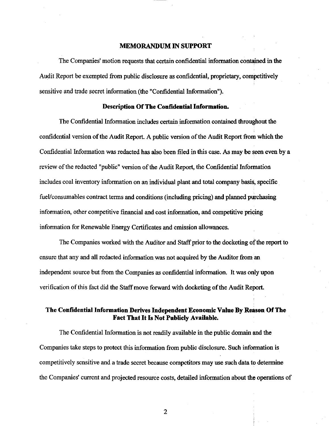#### MEMORANDUM IN SUPPORT

The Companies' motion requests that certain confidential information contained in the Audit Report be exempted from public disclosure as confidential, proprietary, competitively sensitive and trade secret information (the "Confidential Information").

#### Description Of The Confidential Information.

The Confidential Information includes certain information contained throughout the confidential version of the Audit Report. A public version of the Audit Report from which the Confidential Information was redacted has also been filed in this case. As may be seen even by a review of the redacted "public" version of the Audit Report, the Confidential Information includes coal inventory information on an individual plant and total company basis, specific fuel/consumables contract terms and conditions (including pricing) and planned purchasing information, other competitive financial and cost information, and competitive pricing information for Renewable Energy Certificates and emission allowances.

The Companies worked with the Auditor and Staff prior to the docketing of the report to ensure that any and all redacted information was not acquired by the Auditor from an independent source but from the Companies as confidential information. It was only upon verification of this fact did the Staff move forward with docketing of the Audit Report.

### The Confidential Information Derives Independent Economic Value By Reason Of The **Fact That It Is Not Publicly Available.** Fact That It Is Not Publicly Available.

The Confidential Information is not readily available in the public domain and the  $\mathbf{A}^{\text{c}}$  take steps to  $\mathbf{A}^{\text{c}}$  this information from public disclosure. Such information is information in competitively sensitively sensitively sensitive and a trade secret because competitors may use such data to de<br>The competitors may use such data to determine and a trade secret because of the competitors may use to determi  $\mathbf{r}$  companies to  $\mathbf{r}$  constraints and projected resource costs, detailed information about the operations of  $\mathbf{r}$ 

 $\overline{2}$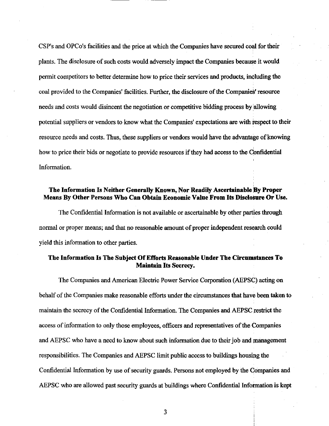CSP's and OPCo's facilities and the price at which the Companies have secured coal for their plants. The disclosure of such costs would adversely impact the Companies because it would permit competitors to better determine how to price their services and products, including the coal provided to the Companies' facilities. Further, the disclosure of the Companies' resource needs and costs would disincent the negotiation or competitive bidding process by allowing potential suppliers or vendors to know what the Companies' expectations are with respect to their resource needs and costs. Thus, these suppliers or vendors would have the advantage of knowing how to price their bids or negotiate to provide resources if they had access to the Confidential Information.

## The Information Is Neither Generally Known, Nor Readily Ascertainable By Proper Means By Other Persons Who Can Obtain Economic Value From Its Disclosure Or Use.

The Confidential Information is not available or ascertainable by other parties through normal or proper means; and that no reasonable amount of proper independent research could yield this information to other parties.

## The Information Is The Subject Of Efforts Reasonable Under The Circumstances To **Maintain Its Secrecy.**

The Companies and American Electric Power Service Corporation (AEPSC) acting on The Companies and American Electric Power Service  $\mathcal{L}$  and  $\mathcal{L}$  acting on  $\mathcal{L}$ behalf of the Companies make reasonable efforts under the circumstances that have been taken to behalf of the Companies make reasonable efforts under the circumstances that have been taken to maintain the secrecy of the Confidential Information. The Companies and AEPSC restrict the access of information to only those employees, officers and representatives of the Companies access of information to only those employees, only those employees, of the  $C$  the  $C$ and AEPSC who have a need to know about such information due to their job and management and AEPSC who have a new about such information due to the information due to the information due to the information due to the information due to the information due to the information due to the information due to the i responsibilities. The Companies and AEPSC limit public access to buildings housing the responsibilities. The Companies and AEPSC limit public access to buildings housing the Confidential Information by use of security guards. Persons not employed by the Companies and Confidential Information by use of security guards. Persons not employed by the Companies and AEPSC who are allowed past security guards at buildings where Confidential Information is kept

3

AEPSC who are allowed past security guards at buildings where  $\mathcal{L}_{\text{max}}$  where  $\mathcal{L}_{\text{max}}$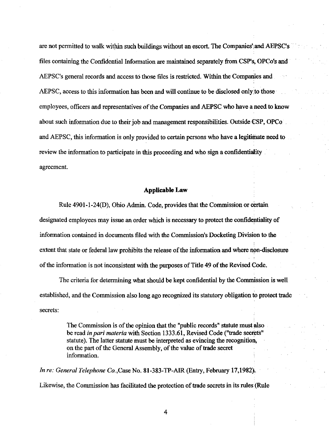are not permitted to walk within such buildings without an escort. The Companies' and AEPSC's files containing the Confidential Information are maintained separately from CSP's, OPCo's and AEPSC's general records and access to those files is restricted. Within the Companies and AEPSC, access to this information has been and will continue to be disclosed only to those employees, officers and representatives of the Companies and AEPSC who have a need to know about such information due to their job and management responsibilities. Outside CSP, OPCo and AEPSC, this information is only provided to certain persons who have a legitimate need to review the information to participate in this proceeding and who sign a confidentiality agreement.

#### Applicable Law

Rule 4901 -1 -24(D), Ohio Admin. Code, provides that the Commission or certain designated employees may issue an order which is necessary to protect the confidentiality of information contained in documents filed with the Commission's Docketing Division to the extent that state or federal law prohibits the release of the information and where non-disclosure of the information is not inconsistent with the purposes of Title 49 of the Revised Code.

The criteria for determining what should be kept confidential by the Commission is well established, and the Commission also long ago recognized its statutory obligation to protect trade secrets:

> The Commission is of the opinion that the "public records" statute must also be read in pari materia with Section 1333.61, Revised Code ("trade secrets" statute). The latter statute must be interpreted as evincing the recognition, on the part of the General Assembly, of the value of frade secret information.

In re: General Telephone Co.,Case No. 81-383-TP-AIR (Entry, February 17,1982). Likewise, the Commission has facilitated the protection of trade secrets in its rules (Rule

4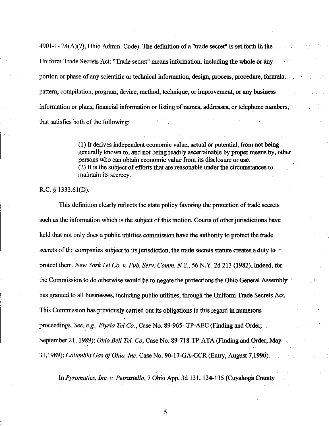4901-1- 24(A)(7), Ohio Admin. Code). The definition of a "trade secret" is set forth in the Uniform Trade Secrets Act: "Trade secret" means information, including the whole or any portion or phase of any scientific or technical information, design, process, procedure, formula, pattern, compilation, program, device, method, technique, or improvement, or any business information or plans, financial information or listing of names, addresses, or telephone numbers, that satisfies both of the following:

> (1) It derives independent economic value, actual or potential, from not being generally known to, and not being readily ascertainable by proper means by, other persons who can obtain economic value from its disclosure or use. (2) It is the subject of efforts that are reasonable under the circumstances to maintain its secrecy.

## R.C. § 1333.61(D).

This definition clearly reflects the state policy favoring the protection of frade secrets such as the information which is the subject of this motion. Courts of other jurisdictions have held that not only does a public utilities commission have the authority to protect the trade secrets of the companies subject to its jurisdiction, the frade secrets statute creates a duty to protect them. New York Tel Co. v. Puh. Serv. Comm. N. Y., 56 N.Y. 2d 213 (1982). Indeed, for the Commission to do otherwise would be to negate the protections the Ohio Genetal Assembly has granted to all businesses, including public utilities, through the Uniform Trade Secrets Act. This Commission has previously carried out its obligations in this regard in numerous proceedings. See, e.g., Elyria Tel Co., Case No. 89-965-TP-AEC (Finding and Order, September 21, 1989); Ohio Bell Tel. Co, Case No. 89-718-TP-ATA (Finding and Order, May 31,1989); Columbia Gas of Ohio. Inc. Case No. 90-17-GA-GCR (Enfry, August 7,1990).

In Pyromatics, Inc. v. Petruziello, 7 Ohio App. 3d 131,134-135 (Cuyahoga County

5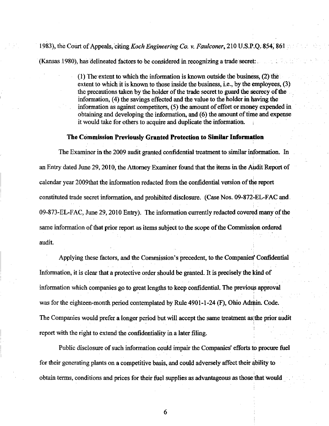# 1983), the Court of Appeals, citing Koch Engineering Co. v. Faulconer, 210 U.S.P.Q. 854, 861

(Kansas 1980), has delineated factors to be considered in recognizing a frade secret:

(1) The extent to which the information is known outside the business, (2) the extent to which it is known to those inside the business, i.e., by the employees, (3) the precautions taken by the holder of the trade secret to guard the secrecy of the information, (4) the savings effected and the value to the holder in having the information as against competitors, (5) the amount of effort or money expended in obtaining and developing the information, and (6) the amount of time and expense it would take for others to acquire and duplicate the information.

#### The Commission Previously Granted Protection to Similar Information

The Examiner in the 2009 audit granted confidential treatment to similar information. In an Entry dated June 29,2010, the Attorney Examiner found that the items in the Audit Report of calendar year 2009that the information redacted from the confidential version of the report constituted trade secret information, and prohibited disclosure. (Case Nos. 09-872-EL-FAC and 09-873-EL-FAC, June 29,2010 Entry). The mformation currently redacted covered many of the same information of that prior report as items subject to the scope of the Commission ordered audit. The contract of the contract of the contract of the contract of the contract of the contract of the contract of the contract of the contract of the contract of the contract of the contract of the contract of the con

Applying these factors, and the Commission's precedent, to the Companies' Confidential Information, it is clear that a protective order should be granted. It is precisely the kind of information which companies go to great lengths to keep confidential. The previous approval was for the eighteen-month period contemplated by Rule 4901-1-24 (F), Ohio Admin. Code. The Companies would prefer a longer period but will accept the same freatment as the prior audit report with the right to extend the confidentiality in a later filing.

Public disclosure of such information could impair the Companies' efforts to procure fuel for their generating plants on a competitive basis, and could adversely affect their ability to obtain terms, conditions and prices for their fuel supplies as advantageous as those that would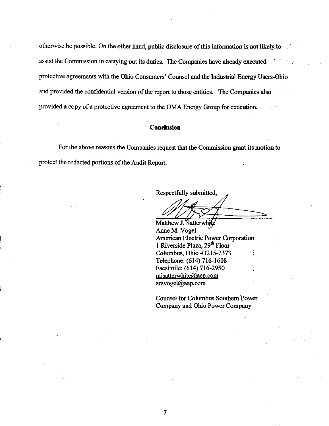otherwise be possible. On the other hand, public disclosure of this information is not likely to assist the Commission in carrying out its duties. The Companies have already executed protective agreements with the Ohio Consumers' Counsel and the Industrial Energy Users-Ohio and provided the confidential version of the report to those entities. The Companies also provided a copy of a protective agreement to the OMA Energy Group for execution.

## Conclusion

For the above reasons the Companies request that the Commission grant its motion to protect the redacted portions of the Audit Report.

Respectfully submitted.

Matthew J. Satterwhite Anne M. Vogel American Electric Power Corporation 1 Riverside Plaza, 29<sup>th</sup> Floor Columbus, Ohio 43215-2373 Telephone: (614) 716-1608 Facsimile: (614) 716-2950 misatterwhite@aep.com amvogel@aep.com

Counsel for Columbus Southern Power Company and Ohio Power Company